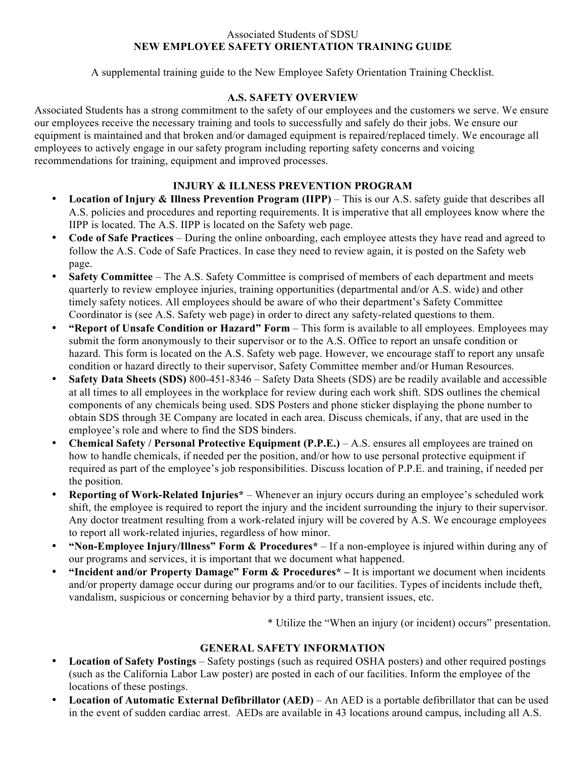#### Associated Students of SDSU **NEW EMPLOYEE SAFETY ORIENTATION TRAINING GUIDE**

A supplemental training guide to the New Employee Safety Orientation Training Checklist.

# **A.S. SAFETY OVERVIEW**

Associated Students has a strong commitment to the safety of our employees and the customers we serve. We ensure our employees receive the necessary training and tools to successfully and safely do their jobs. We ensure our equipment is maintained and that broken and/or damaged equipment is repaired/replaced timely. We encourage all employees to actively engage in our safety program including reporting safety concerns and voicing recommendations for training, equipment and improved processes.

# **INJURY & ILLNESS PREVENTION PROGRAM**

- **Location of Injury & Illness Prevention Program (IIPP)** This is our A.S. safety guide that describes all A.S. policies and procedures and reporting requirements. It is imperative that all employees know where the IIPP is located. The A.S. IIPP is located on the Safety web page.
- **Code of Safe Practices** During the online onboarding, each employee attests they have read and agreed to follow the A.S. Code of Safe Practices. In case they need to review again, it is posted on the Safety web page.
- **Safety Committee** The A.S. Safety Committee is comprised of members of each department and meets quarterly to review employee injuries, training opportunities (departmental and/or A.S. wide) and other timely safety notices. All employees should be aware of who their department's Safety Committee Coordinator is (see A.S. Safety web page) in order to direct any safety-related questions to them.
- **"Report of Unsafe Condition or Hazard" Form** This form is available to all employees. Employees may submit the form anonymously to their supervisor or to the A.S. Office to report an unsafe condition or hazard. This form is located on the A.S. Safety web page. However, we encourage staff to report any unsafe condition or hazard directly to their supervisor, Safety Committee member and/or Human Resources.
- **Safety Data Sheets (SDS)** 800-451-8346 Safety Data Sheets (SDS) are be readily available and accessible at all times to all employees in the workplace for review during each work shift. SDS outlines the chemical components of any chemicals being used. SDS Posters and phone sticker displaying the phone number to obtain SDS through 3E Company are located in each area. Discuss chemicals, if any, that are used in the employee's role and where to find the SDS binders.
- **Chemical Safety / Personal Protective Equipment (P.P.E.)** A.S. ensures all employees are trained on how to handle chemicals, if needed per the position, and/or how to use personal protective equipment if required as part of the employee's job responsibilities. Discuss location of P.P.E. and training, if needed per the position.
- **Reporting of Work-Related Injuries\*** Whenever an injury occurs during an employee's scheduled work shift, the employee is required to report the injury and the incident surrounding the injury to their supervisor. Any doctor treatment resulting from a work-related injury will be covered by A.S. We encourage employees to report all work-related injuries, regardless of how minor.
- **"Non-Employee Injury/Illness" Form & Procedures\*** If a non-employee is injured within during any of our programs and services, it is important that we document what happened.
- **"Incident and/or Property Damage" Form & Procedures\* –** It is important we document when incidents and/or property damage occur during our programs and/or to our facilities. Types of incidents include theft, vandalism, suspicious or concerning behavior by a third party, transient issues, etc.

\* Utilize the "When an injury (or incident) occurs" presentation.

## **GENERAL SAFETY INFORMATION**

- **Location of Safety Postings** Safety postings (such as required OSHA posters) and other required postings (such as the California Labor Law poster) are posted in each of our facilities. Inform the employee of the locations of these postings.
- **Location of Automatic External Defibrillator (AED)** An AED is a portable defibrillator that can be used in the event of sudden cardiac arrest. AEDs are available in 43 locations around campus, including all A.S.